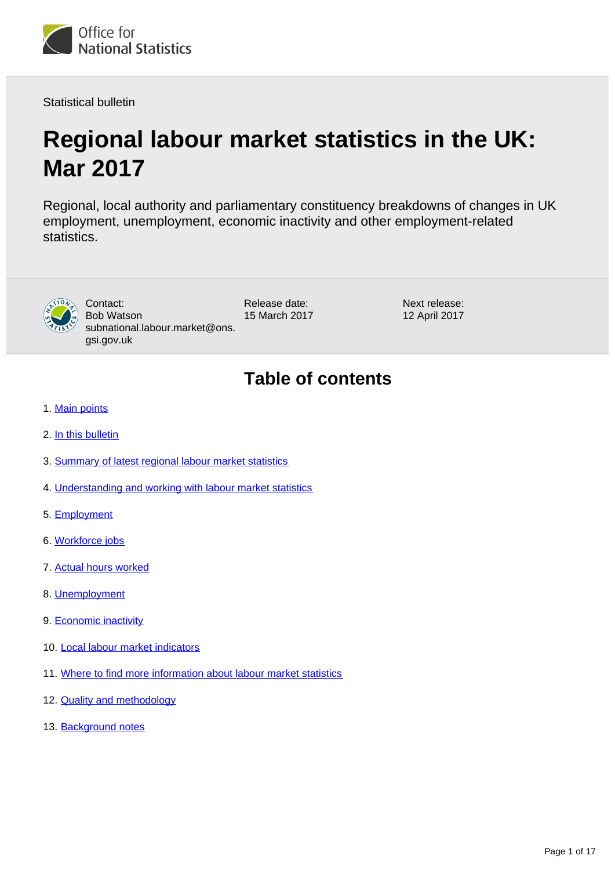

Statistical bulletin

# **Regional labour market statistics in the UK: Mar 2017**

Regional, local authority and parliamentary constituency breakdowns of changes in UK employment, unemployment, economic inactivity and other employment-related statistics.



Contact: Bob Watson subnational.labour.market@ons. gsi.gov.uk

Release date: 15 March 2017 Next release: 12 April 2017

## **Table of contents**

- 1. [Main points](#page-1-0)
- 2. [In this bulletin](#page-1-1)
- 3. [Summary of latest regional labour market statistics](#page-2-0)
- 4. [Understanding and working with labour market statistics](#page-3-0)
- 5. [Employment](#page-5-0)
- 6. [Workforce jobs](#page-7-0)
- 7. [Actual hours worked](#page-9-0)
- 8. [Unemployment](#page-11-0)
- 9. [Economic inactivity](#page-12-0)
- 10. [Local labour market indicators](#page-14-0)
- 11. [Where to find more information about labour market statistics](#page-15-0)
- 12. **[Quality and methodology](#page-16-0)**
- 13. Background notes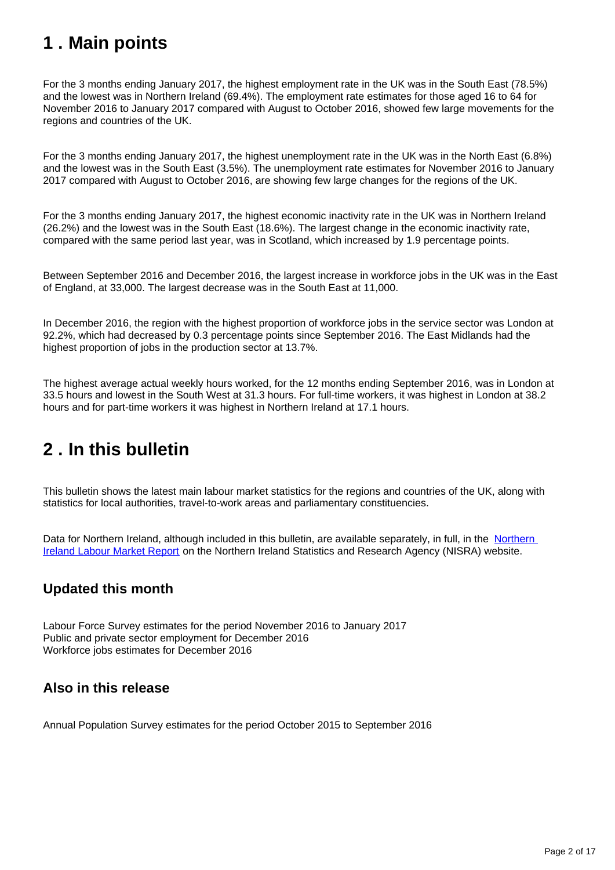## <span id="page-1-0"></span>**1 . Main points**

For the 3 months ending January 2017, the highest employment rate in the UK was in the South East (78.5%) and the lowest was in Northern Ireland (69.4%). The employment rate estimates for those aged 16 to 64 for November 2016 to January 2017 compared with August to October 2016, showed few large movements for the regions and countries of the UK.

For the 3 months ending January 2017, the highest unemployment rate in the UK was in the North East (6.8%) and the lowest was in the South East (3.5%). The unemployment rate estimates for November 2016 to January 2017 compared with August to October 2016, are showing few large changes for the regions of the UK.

For the 3 months ending January 2017, the highest economic inactivity rate in the UK was in Northern Ireland (26.2%) and the lowest was in the South East (18.6%). The largest change in the economic inactivity rate, compared with the same period last year, was in Scotland, which increased by 1.9 percentage points.

Between September 2016 and December 2016, the largest increase in workforce jobs in the UK was in the East of England, at 33,000. The largest decrease was in the South East at 11,000.

In December 2016, the region with the highest proportion of workforce jobs in the service sector was London at 92.2%, which had decreased by 0.3 percentage points since September 2016. The East Midlands had the highest proportion of jobs in the production sector at 13.7%.

The highest average actual weekly hours worked, for the 12 months ending September 2016, was in London at 33.5 hours and lowest in the South West at 31.3 hours. For full-time workers, it was highest in London at 38.2 hours and for part-time workers it was highest in Northern Ireland at 17.1 hours.

## <span id="page-1-1"></span>**2 . In this bulletin**

This bulletin shows the latest main labour market statistics for the regions and countries of the UK, along with statistics for local authorities, travel-to-work areas and parliamentary constituencies.

Data for [Northern](https://www.economy-ni.gov.uk/articles/labour-force-survey#toc-1) Ireland, although included in this bulletin, are available separately, in full, in the Northern [Ireland Labour Market Report](https://www.economy-ni.gov.uk/articles/labour-force-survey#toc-1) on the Northern Ireland Statistics and Research Agency (NISRA) website.

### **Updated this month**

Labour Force Survey estimates for the period November 2016 to January 2017 Public and private sector employment for December 2016 Workforce jobs estimates for December 2016

#### **Also in this release**

Annual Population Survey estimates for the period October 2015 to September 2016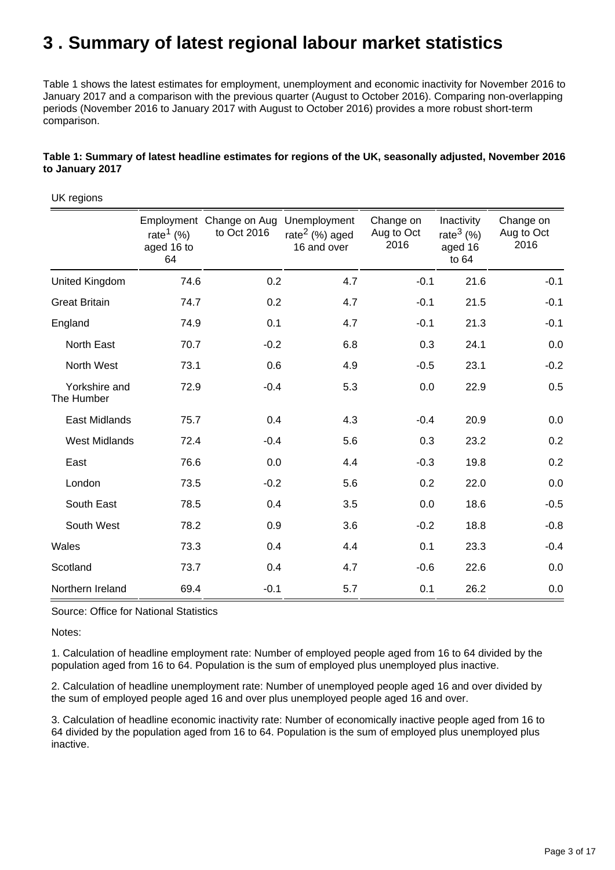## <span id="page-2-0"></span>**3 . Summary of latest regional labour market statistics**

Table 1 shows the latest estimates for employment, unemployment and economic inactivity for November 2016 to January 2017 and a comparison with the previous quarter (August to October 2016). Comparing non-overlapping periods (November 2016 to January 2017 with August to October 2016) provides a more robust short-term comparison.

#### **Table 1: Summary of latest headline estimates for regions of the UK, seasonally adjusted, November 2016 to January 2017**

UK regions

|                             | rate <sup>1</sup> (%)<br>aged 16 to<br>64 | Employment Change on Aug<br>to Oct 2016 | Unemployment<br>rate <sup>2</sup> (%) aged<br>16 and over | Change on<br>Aug to Oct<br>2016 | Inactivity<br>rate $3(%)$<br>aged 16<br>to $64$ | Change on<br>Aug to Oct<br>2016 |
|-----------------------------|-------------------------------------------|-----------------------------------------|-----------------------------------------------------------|---------------------------------|-------------------------------------------------|---------------------------------|
| United Kingdom              | 74.6                                      | 0.2                                     | 4.7                                                       | $-0.1$                          | 21.6                                            | $-0.1$                          |
| <b>Great Britain</b>        | 74.7                                      | 0.2                                     | 4.7                                                       | $-0.1$                          | 21.5                                            | $-0.1$                          |
| England                     | 74.9                                      | 0.1                                     | 4.7                                                       | $-0.1$                          | 21.3                                            | $-0.1$                          |
| North East                  | 70.7                                      | $-0.2$                                  | 6.8                                                       | 0.3                             | 24.1                                            | 0.0                             |
| North West                  | 73.1                                      | 0.6                                     | 4.9                                                       | $-0.5$                          | 23.1                                            | $-0.2$                          |
| Yorkshire and<br>The Humber | 72.9                                      | $-0.4$                                  | 5.3                                                       | 0.0                             | 22.9                                            | 0.5                             |
| <b>East Midlands</b>        | 75.7                                      | 0.4                                     | 4.3                                                       | $-0.4$                          | 20.9                                            | 0.0                             |
| <b>West Midlands</b>        | 72.4                                      | $-0.4$                                  | 5.6                                                       | 0.3                             | 23.2                                            | 0.2                             |
| East                        | 76.6                                      | 0.0                                     | 4.4                                                       | $-0.3$                          | 19.8                                            | 0.2                             |
| London                      | 73.5                                      | $-0.2$                                  | 5.6                                                       | 0.2                             | 22.0                                            | 0.0                             |
| South East                  | 78.5                                      | 0.4                                     | 3.5                                                       | 0.0                             | 18.6                                            | $-0.5$                          |
| South West                  | 78.2                                      | 0.9                                     | 3.6                                                       | $-0.2$                          | 18.8                                            | $-0.8$                          |
| Wales                       | 73.3                                      | 0.4                                     | 4.4                                                       | 0.1                             | 23.3                                            | $-0.4$                          |
| Scotland                    | 73.7                                      | 0.4                                     | 4.7                                                       | $-0.6$                          | 22.6                                            | 0.0                             |
| Northern Ireland            | 69.4                                      | $-0.1$                                  | 5.7                                                       | 0.1                             | 26.2                                            | 0.0                             |

Source: Office for National Statistics

Notes:

1. Calculation of headline employment rate: Number of employed people aged from 16 to 64 divided by the population aged from 16 to 64. Population is the sum of employed plus unemployed plus inactive.

2. Calculation of headline unemployment rate: Number of unemployed people aged 16 and over divided by the sum of employed people aged 16 and over plus unemployed people aged 16 and over.

3. Calculation of headline economic inactivity rate: Number of economically inactive people aged from 16 to 64 divided by the population aged from 16 to 64. Population is the sum of employed plus unemployed plus inactive.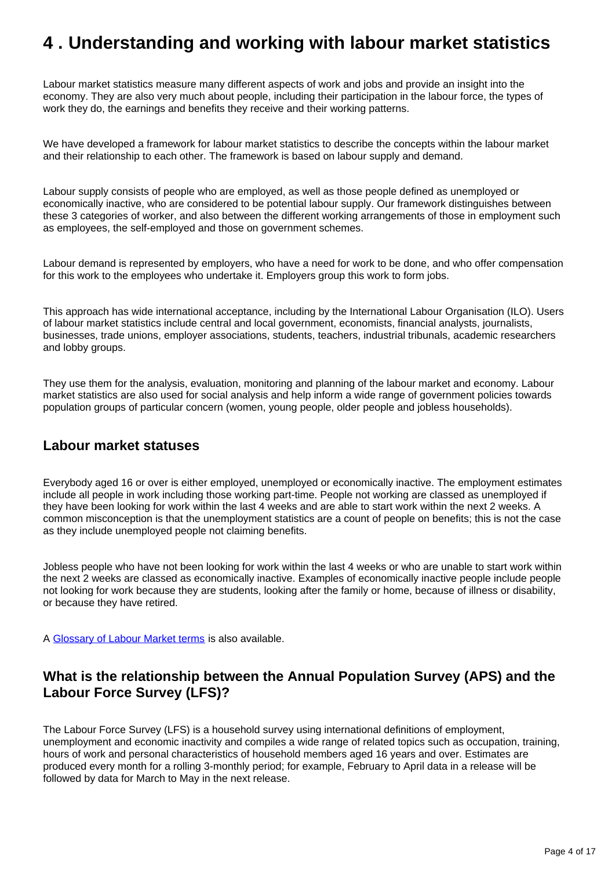## <span id="page-3-0"></span>**4 . Understanding and working with labour market statistics**

Labour market statistics measure many different aspects of work and jobs and provide an insight into the economy. They are also very much about people, including their participation in the labour force, the types of work they do, the earnings and benefits they receive and their working patterns.

We have developed a framework for labour market statistics to describe the concepts within the labour market and their relationship to each other. The framework is based on labour supply and demand.

Labour supply consists of people who are employed, as well as those people defined as unemployed or economically inactive, who are considered to be potential labour supply. Our framework distinguishes between these 3 categories of worker, and also between the different working arrangements of those in employment such as employees, the self-employed and those on government schemes.

Labour demand is represented by employers, who have a need for work to be done, and who offer compensation for this work to the employees who undertake it. Employers group this work to form jobs.

This approach has wide international acceptance, including by the International Labour Organisation (ILO). Users of labour market statistics include central and local government, economists, financial analysts, journalists, businesses, trade unions, employer associations, students, teachers, industrial tribunals, academic researchers and lobby groups.

They use them for the analysis, evaluation, monitoring and planning of the labour market and economy. Labour market statistics are also used for social analysis and help inform a wide range of government policies towards population groups of particular concern (women, young people, older people and jobless households).

#### **Labour market statuses**

Everybody aged 16 or over is either employed, unemployed or economically inactive. The employment estimates include all people in work including those working part-time. People not working are classed as unemployed if they have been looking for work within the last 4 weeks and are able to start work within the next 2 weeks. A common misconception is that the unemployment statistics are a count of people on benefits; this is not the case as they include unemployed people not claiming benefits.

Jobless people who have not been looking for work within the last 4 weeks or who are unable to start work within the next 2 weeks are classed as economically inactive. Examples of economically inactive people include people not looking for work because they are students, looking after the family or home, because of illness or disability, or because they have retired.

A [Glossary of Labour Market terms](https://www.ons.gov.uk/employmentandlabourmarket/peopleinwork/employmentandemployeetypes/methodologies/aguidetolabourmarketstatistics#glossary) is also available.

### **What is the relationship between the Annual Population Survey (APS) and the Labour Force Survey (LFS)?**

The Labour Force Survey (LFS) is a household survey using international definitions of employment, unemployment and economic inactivity and compiles a wide range of related topics such as occupation, training, hours of work and personal characteristics of household members aged 16 years and over. Estimates are produced every month for a rolling 3-monthly period; for example, February to April data in a release will be followed by data for March to May in the next release.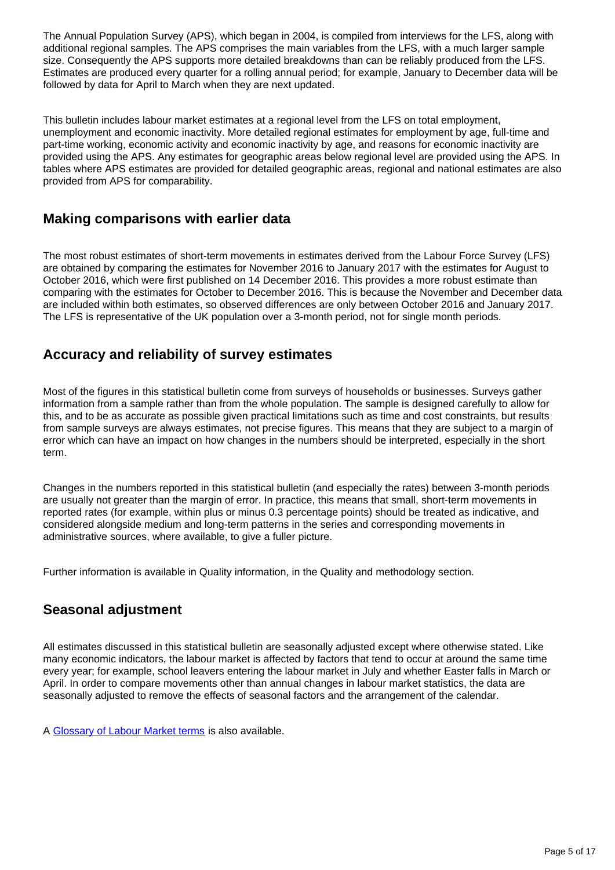The Annual Population Survey (APS), which began in 2004, is compiled from interviews for the LFS, along with additional regional samples. The APS comprises the main variables from the LFS, with a much larger sample size. Consequently the APS supports more detailed breakdowns than can be reliably produced from the LFS. Estimates are produced every quarter for a rolling annual period; for example, January to December data will be followed by data for April to March when they are next updated.

This bulletin includes labour market estimates at a regional level from the LFS on total employment, unemployment and economic inactivity. More detailed regional estimates for employment by age, full-time and part-time working, economic activity and economic inactivity by age, and reasons for economic inactivity are provided using the APS. Any estimates for geographic areas below regional level are provided using the APS. In tables where APS estimates are provided for detailed geographic areas, regional and national estimates are also provided from APS for comparability.

#### **Making comparisons with earlier data**

The most robust estimates of short-term movements in estimates derived from the Labour Force Survey (LFS) are obtained by comparing the estimates for November 2016 to January 2017 with the estimates for August to October 2016, which were first published on 14 December 2016. This provides a more robust estimate than comparing with the estimates for October to December 2016. This is because the November and December data are included within both estimates, so observed differences are only between October 2016 and January 2017. The LFS is representative of the UK population over a 3-month period, not for single month periods.

#### **Accuracy and reliability of survey estimates**

Most of the figures in this statistical bulletin come from surveys of households or businesses. Surveys gather information from a sample rather than from the whole population. The sample is designed carefully to allow for this, and to be as accurate as possible given practical limitations such as time and cost constraints, but results from sample surveys are always estimates, not precise figures. This means that they are subject to a margin of error which can have an impact on how changes in the numbers should be interpreted, especially in the short term.

Changes in the numbers reported in this statistical bulletin (and especially the rates) between 3-month periods are usually not greater than the margin of error. In practice, this means that small, short-term movements in reported rates (for example, within plus or minus 0.3 percentage points) should be treated as indicative, and considered alongside medium and long-term patterns in the series and corresponding movements in administrative sources, where available, to give a fuller picture.

Further information is available in Quality information, in the Quality and methodology section.

### **Seasonal adjustment**

All estimates discussed in this statistical bulletin are seasonally adjusted except where otherwise stated. Like many economic indicators, the labour market is affected by factors that tend to occur at around the same time every year; for example, school leavers entering the labour market in July and whether Easter falls in March or April. In order to compare movements other than annual changes in labour market statistics, the data are seasonally adjusted to remove the effects of seasonal factors and the arrangement of the calendar.

A [Glossary of Labour Market terms](https://www.ons.gov.uk/employmentandlabourmarket/peopleinwork/employmentandemployeetypes/methodologies/aguidetolabourmarketstatistics#glossary) is also available.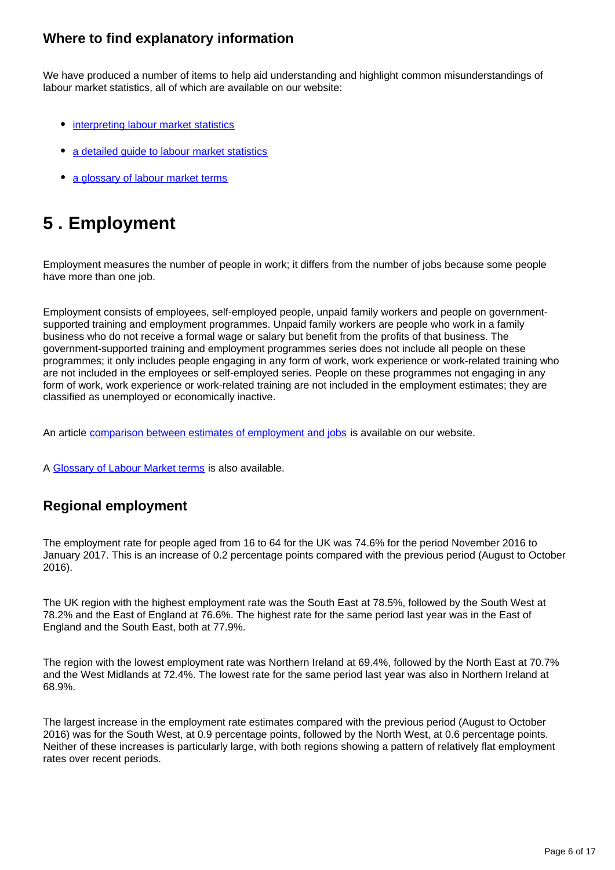### **Where to find explanatory information**

We have produced a number of items to help aid understanding and highlight common misunderstandings of labour market statistics, all of which are available on our website:

- [interpreting labour market statistics](https://www.ons.gov.uk/employmentandlabourmarket/peopleinwork/employmentandemployeetypes/articles/singlemonthlabourforcesurveyestimates/december2016)
- a detailed quide to labour market statistics
- [a glossary of labour market terms](https://www.ons.gov.uk/employmentandlabourmarket/peopleinwork/employmentandemployeetypes/methodologies/aguidetolabourmarketstatistics#glossary)

## <span id="page-5-0"></span>**5 . Employment**

Employment measures the number of people in work; it differs from the number of jobs because some people have more than one job.

Employment consists of employees, self-employed people, unpaid family workers and people on governmentsupported training and employment programmes. Unpaid family workers are people who work in a family business who do not receive a formal wage or salary but benefit from the profits of that business. The government-supported training and employment programmes series does not include all people on these programmes; it only includes people engaging in any form of work, work experience or work-related training who are not included in the employees or self-employed series. People on these programmes not engaging in any form of work, work experience or work-related training are not included in the employment estimates; they are classified as unemployed or economically inactive.

An article [comparison between estimates of employment and jobs](http://www.ons.gov.uk/employmentandlabourmarket/peopleinwork/employmentandemployeetypes/articles/reconciliationofestimatesofjobs/latest) is available on our website.

A [Glossary of Labour Market terms](https://www.ons.gov.uk/employmentandlabourmarket/peopleinwork/employmentandemployeetypes/methodologies/aguidetolabourmarketstatistics#glossary) is also available.

#### **Regional employment**

The employment rate for people aged from 16 to 64 for the UK was 74.6% for the period November 2016 to January 2017. This is an increase of 0.2 percentage points compared with the previous period (August to October 2016).

The UK region with the highest employment rate was the South East at 78.5%, followed by the South West at 78.2% and the East of England at 76.6%. The highest rate for the same period last year was in the East of England and the South East, both at 77.9%.

The region with the lowest employment rate was Northern Ireland at 69.4%, followed by the North East at 70.7% and the West Midlands at 72.4%. The lowest rate for the same period last year was also in Northern Ireland at 68.9%.

The largest increase in the employment rate estimates compared with the previous period (August to October 2016) was for the South West, at 0.9 percentage points, followed by the North West, at 0.6 percentage points. Neither of these increases is particularly large, with both regions showing a pattern of relatively flat employment rates over recent periods.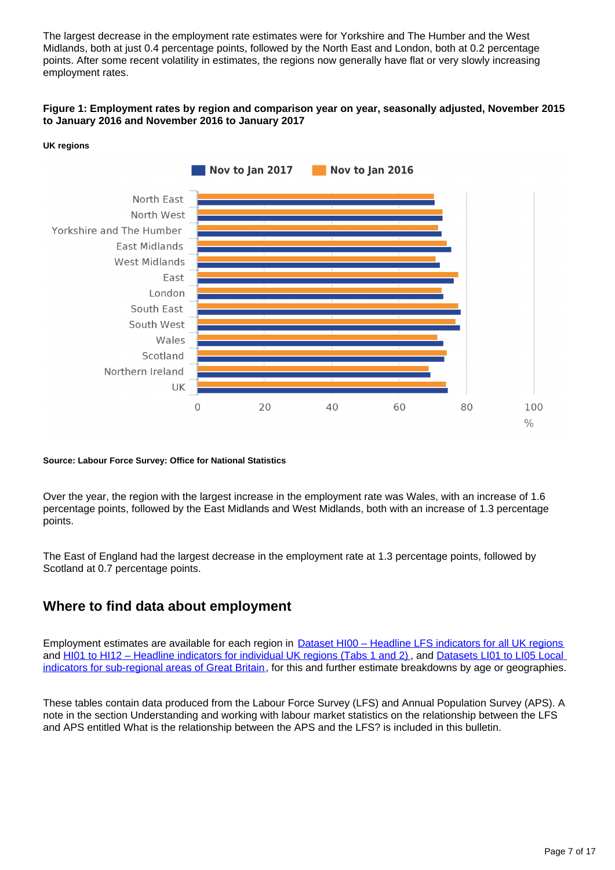The largest decrease in the employment rate estimates were for Yorkshire and The Humber and the West Midlands, both at just 0.4 percentage points, followed by the North East and London, both at 0.2 percentage points. After some recent volatility in estimates, the regions now generally have flat or very slowly increasing employment rates.

#### **Figure 1: Employment rates by region and comparison year on year, seasonally adjusted, November 2015 to January 2016 and November 2016 to January 2017**



#### **UK regions**

#### **Source: Labour Force Survey: Office for National Statistics**

Over the year, the region with the largest increase in the employment rate was Wales, with an increase of 1.6 percentage points, followed by the East Midlands and West Midlands, both with an increase of 1.3 percentage points.

The East of England had the largest decrease in the employment rate at 1.3 percentage points, followed by Scotland at 0.7 percentage points.

#### **Where to find data about employment**

Employment estimates are available for each region in [Dataset HI00 – Headline LFS indicators for all UK regions](http://www.ons.gov.uk/employmentandlabourmarket/peopleinwork/employmentandemployeetypes/datasets/headlinelabourforcesurveyindicatorsforallregionshi00) and [HI01 to HI12 – Headline indicators for individual UK regions \(Tabs 1 and 2\)](http://www.ons.gov.uk/employmentandlabourmarket/peopleinwork/employmentandemployeetypes/bulletins/regionallabourmarket/jan2017/relateddata/) , and [Datasets LI01 to LI05 Local](http://www.ons.gov.uk/employmentandlabourmarket/peopleinwork/employmentandemployeetypes/bulletins/regionallabourmarket/jan2017/relateddata/)  [indicators for sub-regional areas of Great Britain](http://www.ons.gov.uk/employmentandlabourmarket/peopleinwork/employmentandemployeetypes/bulletins/regionallabourmarket/jan2017/relateddata/), for this and further estimate breakdowns by age or geographies.

These tables contain data produced from the Labour Force Survey (LFS) and Annual Population Survey (APS). A note in the section Understanding and working with labour market statistics on the relationship between the LFS and APS entitled What is the relationship between the APS and the LFS? is included in this bulletin.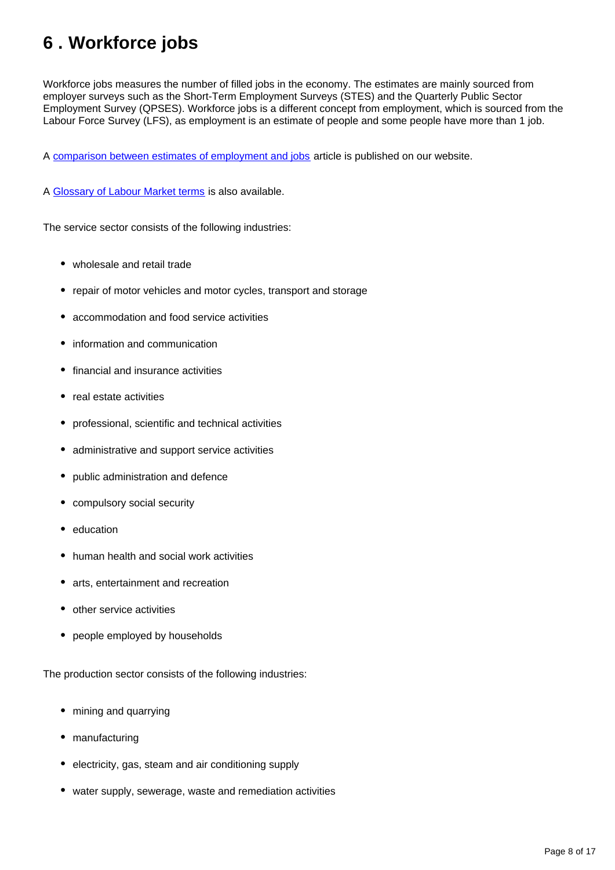## <span id="page-7-0"></span>**6 . Workforce jobs**

Workforce jobs measures the number of filled jobs in the economy. The estimates are mainly sourced from employer surveys such as the Short-Term Employment Surveys (STES) and the Quarterly Public Sector Employment Survey (QPSES). Workforce jobs is a different concept from employment, which is sourced from the Labour Force Survey (LFS), as employment is an estimate of people and some people have more than 1 job.

A [comparison between estimates of employment and jobs](http://www.ons.gov.uk/employmentandlabourmarket/peopleinwork/employmentandemployeetypes/articles/reconciliationofestimatesofjobs/latest) article is published on our website.

A [Glossary of Labour Market terms](https://www.ons.gov.uk/employmentandlabourmarket/peopleinwork/employmentandemployeetypes/methodologies/aguidetolabourmarketstatistics#glossary) is also available.

The service sector consists of the following industries:

- wholesale and retail trade
- repair of motor vehicles and motor cycles, transport and storage
- accommodation and food service activities
- information and communication
- financial and insurance activities
- $\bullet$ real estate activities
- professional, scientific and technical activities
- administrative and support service activities
- public administration and defence
- compulsory social security
- education
- human health and social work activities
- arts, entertainment and recreation
- other service activities
- people employed by households

The production sector consists of the following industries:

- mining and quarrying
- manufacturing
- electricity, gas, steam and air conditioning supply
- water supply, sewerage, waste and remediation activities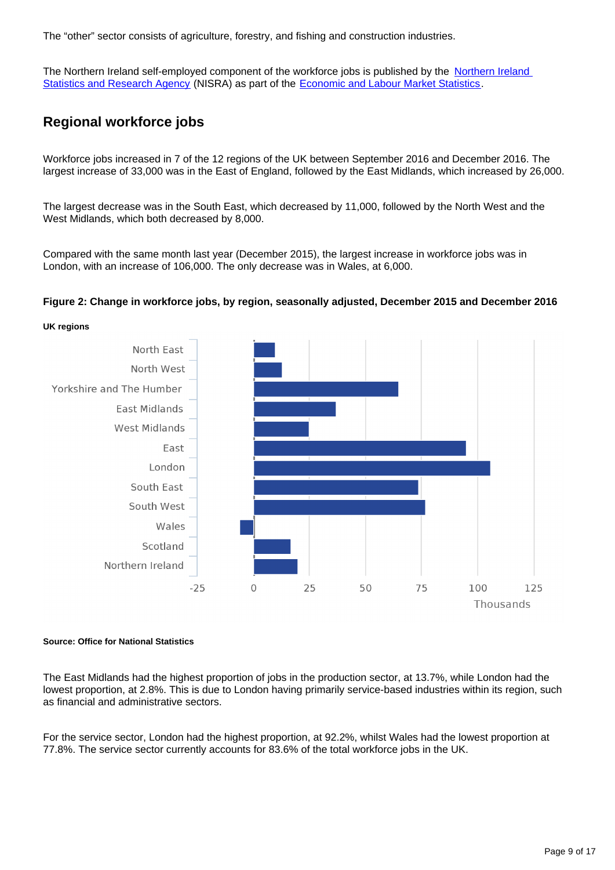The "other" sector consists of agriculture, forestry, and fishing and construction industries.

The [Northern Ireland](https://www.gov.uk/government/organisations/northern-ireland-statistics-and-research-agency) self-employed component of the workforce jobs is published by the Northern Ireland [Statistics and Research Agency](https://www.gov.uk/government/organisations/northern-ireland-statistics-and-research-agency) (NISRA) as part of the [Economic and Labour Market Statistics.](https://www.economy-ni.gov.uk/articles/about-nisra-elms)

### **Regional workforce jobs**

Workforce jobs increased in 7 of the 12 regions of the UK between September 2016 and December 2016. The largest increase of 33,000 was in the East of England, followed by the East Midlands, which increased by 26,000.

The largest decrease was in the South East, which decreased by 11,000, followed by the North West and the West Midlands, which both decreased by 8,000.

Compared with the same month last year (December 2015), the largest increase in workforce jobs was in London, with an increase of 106,000. The only decrease was in Wales, at 6,000.

#### **Figure 2: Change in workforce jobs, by region, seasonally adjusted, December 2015 and December 2016**



#### **Source: Office for National Statistics**

The East Midlands had the highest proportion of jobs in the production sector, at 13.7%, while London had the lowest proportion, at 2.8%. This is due to London having primarily service-based industries within its region, such as financial and administrative sectors.

For the service sector, London had the highest proportion, at 92.2%, whilst Wales had the lowest proportion at 77.8%. The service sector currently accounts for 83.6% of the total workforce jobs in the UK.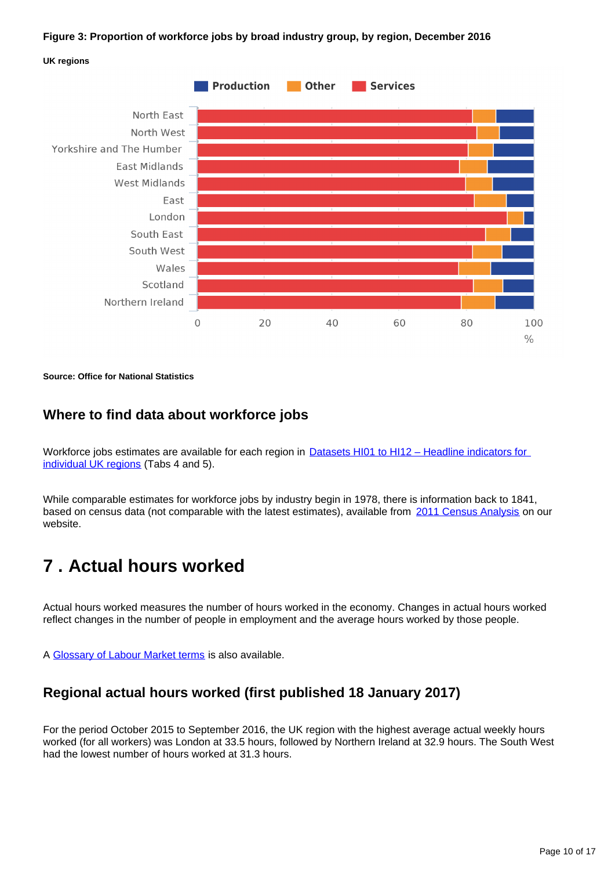#### **Figure 3: Proportion of workforce jobs by broad industry group, by region, December 2016**





**Source: Office for National Statistics**

#### **Where to find data about workforce jobs**

Workforce jobs estimates are available for each region in **Datasets HI01 to HI12 – Headline indicators for** [individual UK regions](http://www.ons.gov.uk/employmentandlabourmarket/peopleinwork/employmentandemployeetypes/bulletins/regionallabourmarket/jan2017/relateddata/) (Tabs 4 and 5).

While comparable estimates for workforce jobs by industry begin in 1978, there is information back to 1841, based on census data (not comparable with the latest estimates), available from [2011 Census Analysis](http://www.ons.gov.uk/ons/rel/census/2011-census-analysis/170-years-of-industry/index.html) on our website.

### <span id="page-9-0"></span>**7 . Actual hours worked**

Actual hours worked measures the number of hours worked in the economy. Changes in actual hours worked reflect changes in the number of people in employment and the average hours worked by those people.

A [Glossary of Labour Market terms](https://www.ons.gov.uk/employmentandlabourmarket/peopleinwork/employmentandemployeetypes/methodologies/aguidetolabourmarketstatistics#glossary) is also available.

### **Regional actual hours worked (first published 18 January 2017)**

For the period October 2015 to September 2016, the UK region with the highest average actual weekly hours worked (for all workers) was London at 33.5 hours, followed by Northern Ireland at 32.9 hours. The South West had the lowest number of hours worked at 31.3 hours.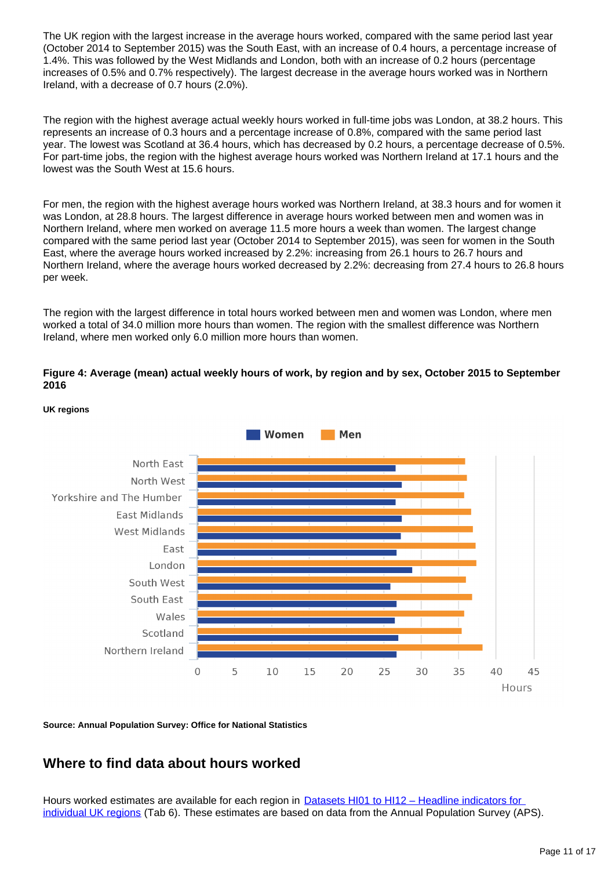The UK region with the largest increase in the average hours worked, compared with the same period last year (October 2014 to September 2015) was the South East, with an increase of 0.4 hours, a percentage increase of 1.4%. This was followed by the West Midlands and London, both with an increase of 0.2 hours (percentage increases of 0.5% and 0.7% respectively). The largest decrease in the average hours worked was in Northern Ireland, with a decrease of 0.7 hours (2.0%).

The region with the highest average actual weekly hours worked in full-time jobs was London, at 38.2 hours. This represents an increase of 0.3 hours and a percentage increase of 0.8%, compared with the same period last year. The lowest was Scotland at 36.4 hours, which has decreased by 0.2 hours, a percentage decrease of 0.5%. For part-time jobs, the region with the highest average hours worked was Northern Ireland at 17.1 hours and the lowest was the South West at 15.6 hours.

For men, the region with the highest average hours worked was Northern Ireland, at 38.3 hours and for women it was London, at 28.8 hours. The largest difference in average hours worked between men and women was in Northern Ireland, where men worked on average 11.5 more hours a week than women. The largest change compared with the same period last year (October 2014 to September 2015), was seen for women in the South East, where the average hours worked increased by 2.2%: increasing from 26.1 hours to 26.7 hours and Northern Ireland, where the average hours worked decreased by 2.2%: decreasing from 27.4 hours to 26.8 hours per week.

The region with the largest difference in total hours worked between men and women was London, where men worked a total of 34.0 million more hours than women. The region with the smallest difference was Northern Ireland, where men worked only 6.0 million more hours than women.

**Figure 4: Average (mean) actual weekly hours of work, by region and by sex, October 2015 to September 2016**



**UK regions**

**Source: Annual Population Survey: Office for National Statistics**

#### **Where to find data about hours worked**

Hours worked estimates are available for each region in Datasets HI01 to HI12 – Headline indicators for [individual UK regions](http://www.ons.gov.uk/employmentandlabourmarket/peopleinwork/employmentandemployeetypes/bulletins/regionallabourmarket/jan2017/relateddata/) (Tab 6). These estimates are based on data from the Annual Population Survey (APS).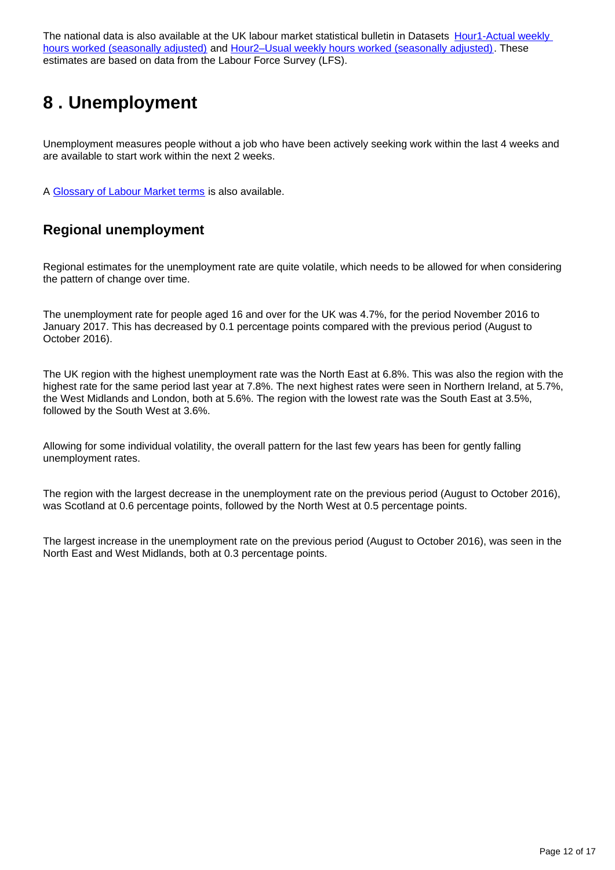The national data is also available at the UK labour market statistical bulletin in Datasets Hour1-Actual weekly [hours worked \(seasonally adjusted\)](http://www.ons.gov.uk/employmentandlabourmarket/peopleinwork/earningsandworkinghours/datasets/actualweeklyhoursworkedseasonallyadjustedhour01sa) and [Hour2–Usual weekly hours worked \(seasonally adjusted\)](http://www.ons.gov.uk/employmentandlabourmarket/peopleinwork/earningsandworkinghours/datasets/usualweeklyhoursworkedseasonallyadjustedhour02sa). These estimates are based on data from the Labour Force Survey (LFS).

## <span id="page-11-0"></span>**8 . Unemployment**

Unemployment measures people without a job who have been actively seeking work within the last 4 weeks and are available to start work within the next 2 weeks.

A [Glossary of Labour Market terms](https://www.ons.gov.uk/employmentandlabourmarket/peopleinwork/employmentandemployeetypes/methodologies/aguidetolabourmarketstatistics#glossary) is also available.

### **Regional unemployment**

Regional estimates for the unemployment rate are quite volatile, which needs to be allowed for when considering the pattern of change over time.

The unemployment rate for people aged 16 and over for the UK was 4.7%, for the period November 2016 to January 2017. This has decreased by 0.1 percentage points compared with the previous period (August to October 2016).

The UK region with the highest unemployment rate was the North East at 6.8%. This was also the region with the highest rate for the same period last year at 7.8%. The next highest rates were seen in Northern Ireland, at 5.7%, the West Midlands and London, both at 5.6%. The region with the lowest rate was the South East at 3.5%, followed by the South West at 3.6%.

Allowing for some individual volatility, the overall pattern for the last few years has been for gently falling unemployment rates.

The region with the largest decrease in the unemployment rate on the previous period (August to October 2016), was Scotland at 0.6 percentage points, followed by the North West at 0.5 percentage points.

The largest increase in the unemployment rate on the previous period (August to October 2016), was seen in the North East and West Midlands, both at 0.3 percentage points.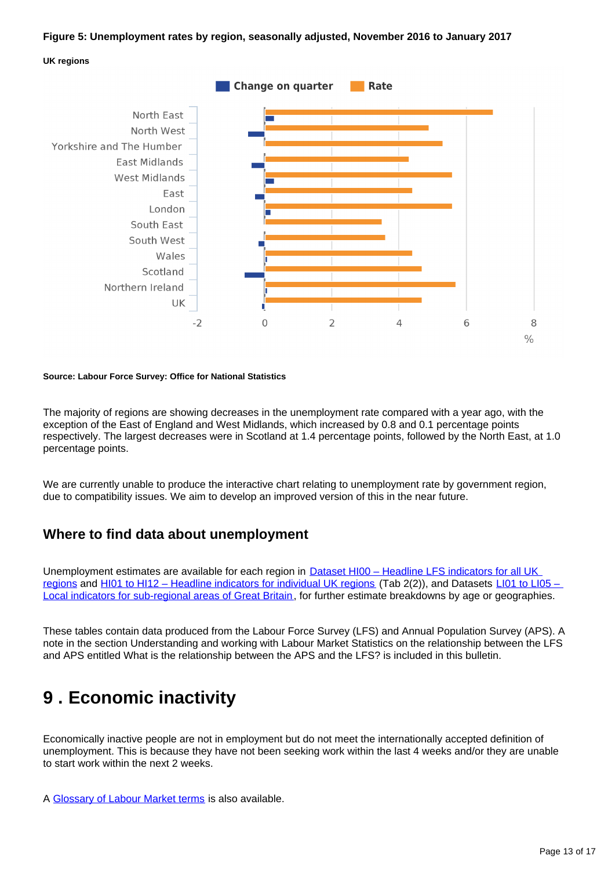#### **Figure 5: Unemployment rates by region, seasonally adjusted, November 2016 to January 2017**





#### **Source: Labour Force Survey: Office for National Statistics**

The majority of regions are showing decreases in the unemployment rate compared with a year ago, with the exception of the East of England and West Midlands, which increased by 0.8 and 0.1 percentage points respectively. The largest decreases were in Scotland at 1.4 percentage points, followed by the North East, at 1.0 percentage points.

We are currently unable to produce the interactive chart relating to unemployment rate by government region, due to compatibility issues. We aim to develop an improved version of this in the near future.

#### **Where to find data about unemployment**

Unemployment estimates are available for each region in [Dataset HI00 – Headline LFS indicators for all UK](http://www.ons.gov.uk/employmentandlabourmarket/peopleinwork/employmentandemployeetypes/datasets/headlinelabourforcesurveyindicatorsforallregionshi00)  [regions](http://www.ons.gov.uk/employmentandlabourmarket/peopleinwork/employmentandemployeetypes/datasets/headlinelabourforcesurveyindicatorsforallregionshi00) and [HI01 to HI12 – Headline indicators for individual UK regions](http://www.ons.gov.uk/employmentandlabourmarket/peopleinwork/employmentandemployeetypes/bulletins/regionallabourmarket/jan2017/relateddata/) (Tab 2(2)), and Datasets LI01 to LI05 – [Local indicators for sub-regional areas of Great Britain](http://www.ons.gov.uk/employmentandlabourmarket/peopleinwork/employmentandemployeetypes/bulletins/regionallabourmarket/jan2017/relateddata/), for further estimate breakdowns by age or geographies.

These tables contain data produced from the Labour Force Survey (LFS) and Annual Population Survey (APS). A note in the section Understanding and working with Labour Market Statistics on the relationship between the LFS and APS entitled What is the relationship between the APS and the LFS? is included in this bulletin.

### <span id="page-12-0"></span>**9 . Economic inactivity**

Economically inactive people are not in employment but do not meet the internationally accepted definition of unemployment. This is because they have not been seeking work within the last 4 weeks and/or they are unable to start work within the next 2 weeks.

A [Glossary of Labour Market terms](https://www.ons.gov.uk/employmentandlabourmarket/peopleinwork/employmentandemployeetypes/methodologies/aguidetolabourmarketstatistics#glossary) is also available.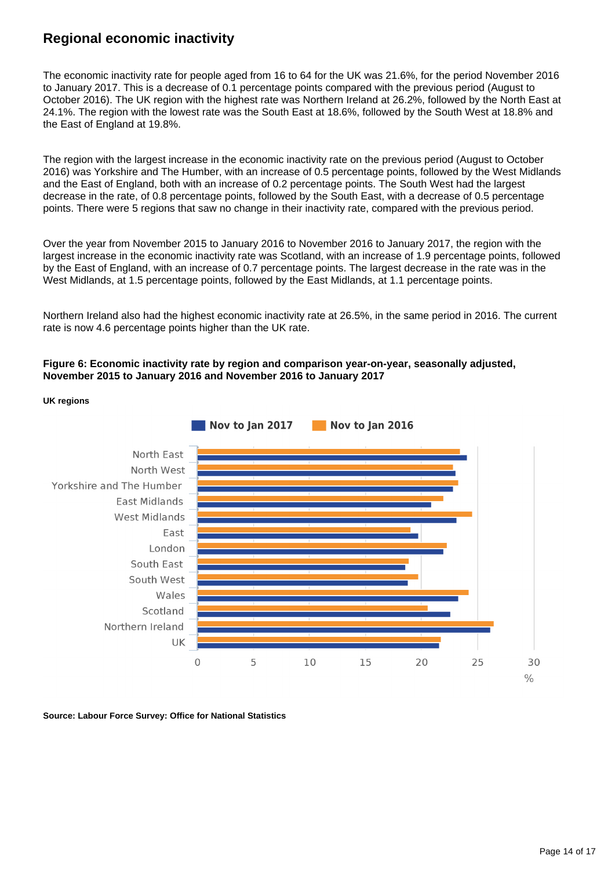### **Regional economic inactivity**

The economic inactivity rate for people aged from 16 to 64 for the UK was 21.6%, for the period November 2016 to January 2017. This is a decrease of 0.1 percentage points compared with the previous period (August to October 2016). The UK region with the highest rate was Northern Ireland at 26.2%, followed by the North East at 24.1%. The region with the lowest rate was the South East at 18.6%, followed by the South West at 18.8% and the East of England at 19.8%.

The region with the largest increase in the economic inactivity rate on the previous period (August to October 2016) was Yorkshire and The Humber, with an increase of 0.5 percentage points, followed by the West Midlands and the East of England, both with an increase of 0.2 percentage points. The South West had the largest decrease in the rate, of 0.8 percentage points, followed by the South East, with a decrease of 0.5 percentage points. There were 5 regions that saw no change in their inactivity rate, compared with the previous period.

Over the year from November 2015 to January 2016 to November 2016 to January 2017, the region with the largest increase in the economic inactivity rate was Scotland, with an increase of 1.9 percentage points, followed by the East of England, with an increase of 0.7 percentage points. The largest decrease in the rate was in the West Midlands, at 1.5 percentage points, followed by the East Midlands, at 1.1 percentage points.

Northern Ireland also had the highest economic inactivity rate at 26.5%, in the same period in 2016. The current rate is now 4.6 percentage points higher than the UK rate.

#### **Figure 6: Economic inactivity rate by region and comparison year-on-year, seasonally adjusted, November 2015 to January 2016 and November 2016 to January 2017**



**UK regions**

**Source: Labour Force Survey: Office for National Statistics**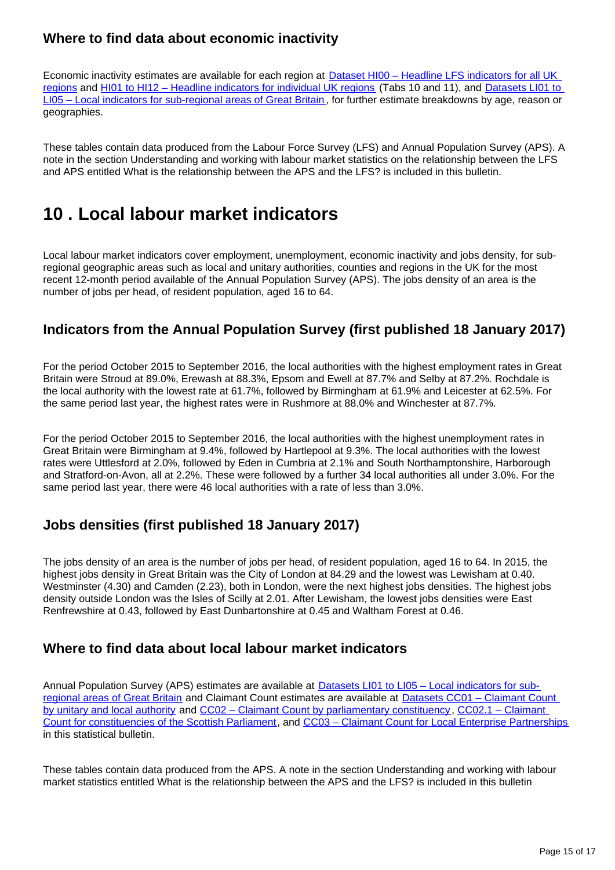### **Where to find data about economic inactivity**

Economic inactivity estimates are available for each region at Dataset HI00 – Headline LFS indicators for all UK [regions](http://www.ons.gov.uk/employmentandlabourmarket/peopleinwork/employmentandemployeetypes/datasets/headlinelabourforcesurveyindicatorsforallregionshi00) and [HI01 to HI12 – Headline indicators for individual UK regions](http://www.ons.gov.uk/employmentandlabourmarket/peopleinwork/employmentandemployeetypes/bulletins/regionallabourmarket/jan2017/relateddata/) (Tabs 10 and 11), and [Datasets LI01 to](http://www.ons.gov.uk/employmentandlabourmarket/peopleinwork/employmentandemployeetypes/bulletins/regionallabourmarket/jan2017/relateddata/)  [LI05 – Local indicators for sub-regional areas of Great Britain](http://www.ons.gov.uk/employmentandlabourmarket/peopleinwork/employmentandemployeetypes/bulletins/regionallabourmarket/jan2017/relateddata/) , for further estimate breakdowns by age, reason or geographies.

These tables contain data produced from the Labour Force Survey (LFS) and Annual Population Survey (APS). A note in the section Understanding and working with labour market statistics on the relationship between the LFS and APS entitled What is the relationship between the APS and the LFS? is included in this bulletin.

## <span id="page-14-0"></span>**10 . Local labour market indicators**

Local labour market indicators cover employment, unemployment, economic inactivity and jobs density, for subregional geographic areas such as local and unitary authorities, counties and regions in the UK for the most recent 12-month period available of the Annual Population Survey (APS). The jobs density of an area is the number of jobs per head, of resident population, aged 16 to 64.

### **Indicators from the Annual Population Survey (first published 18 January 2017)**

For the period October 2015 to September 2016, the local authorities with the highest employment rates in Great Britain were Stroud at 89.0%, Erewash at 88.3%, Epsom and Ewell at 87.7% and Selby at 87.2%. Rochdale is the local authority with the lowest rate at 61.7%, followed by Birmingham at 61.9% and Leicester at 62.5%. For the same period last year, the highest rates were in Rushmore at 88.0% and Winchester at 87.7%.

For the period October 2015 to September 2016, the local authorities with the highest unemployment rates in Great Britain were Birmingham at 9.4%, followed by Hartlepool at 9.3%. The local authorities with the lowest rates were Uttlesford at 2.0%, followed by Eden in Cumbria at 2.1% and South Northamptonshire, Harborough and Stratford-on-Avon, all at 2.2%. These were followed by a further 34 local authorities all under 3.0%. For the same period last year, there were 46 local authorities with a rate of less than 3.0%.

### **Jobs densities (first published 18 January 2017)**

The jobs density of an area is the number of jobs per head, of resident population, aged 16 to 64. In 2015, the highest jobs density in Great Britain was the City of London at 84.29 and the lowest was Lewisham at 0.40. Westminster (4.30) and Camden (2.23), both in London, were the next highest jobs densities. The highest jobs density outside London was the Isles of Scilly at 2.01. After Lewisham, the lowest jobs densities were East Renfrewshire at 0.43, followed by East Dunbartonshire at 0.45 and Waltham Forest at 0.46.

#### **Where to find data about local labour market indicators**

Annual Population Survey (APS) estimates are available at [Datasets LI01 to LI05 – Local indicators for sub](http://www.ons.gov.uk/employmentandlabourmarket/peopleinwork/employmentandemployeetypes/bulletins/regionallabourmarket/jan2017/relateddata/)[regional areas of Great Britain](http://www.ons.gov.uk/employmentandlabourmarket/peopleinwork/employmentandemployeetypes/bulletins/regionallabourmarket/jan2017/relateddata/) and Claimant Count estimates are available at [Datasets CC01 – Claimant Count](http://www.ons.gov.uk/employmentandlabourmarket/peoplenotinwork/unemployment/datasets/claimantcountbyunitaryandlocalauthorityexperimental)  [by unitary and local authority](http://www.ons.gov.uk/employmentandlabourmarket/peoplenotinwork/unemployment/datasets/claimantcountbyunitaryandlocalauthorityexperimental) and [CC02 – Claimant Count by parliamentary constituency](http://www.ons.gov.uk/employmentandlabourmarket/peoplenotinwork/unemployment/datasets/claimantcountbyparliamentaryconstituencyexperimental) , [CC02.1 – Claimant](https://www.ons.gov.uk/employmentandlabourmarket/peopleinwork/employmentandemployeetypes/datasets/cc021regionallabourmarketclaimantcountforscottishparliamentaryconstituenciesexperimental)  [Count for constituencies of the Scottish Parliament](https://www.ons.gov.uk/employmentandlabourmarket/peopleinwork/employmentandemployeetypes/datasets/cc021regionallabourmarketclaimantcountforscottishparliamentaryconstituenciesexperimental), and [CC03 – Claimant Count for Local Enterprise Partnerships](https://www.ons.gov.uk/employmentandlabourmarket/peopleinwork/employmentandemployeetypes/datasets/cc03regionallabourmarketclaimantcountforlocalenterprisepartnershipsexperimental) in this statistical bulletin.

These tables contain data produced from the APS. A note in the section Understanding and working with labour market statistics entitled What is the relationship between the APS and the LFS? is included in this bulletin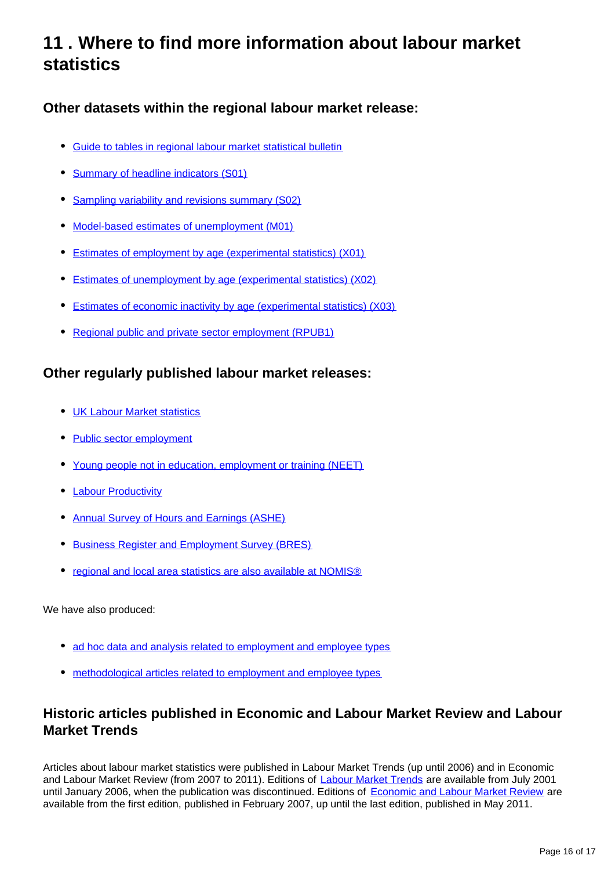## <span id="page-15-0"></span>**11 . Where to find more information about labour market statistics**

### **Other datasets within the regional labour market release:**

- [Guide to tables in regional labour market statistical bulletin](http://www.ons.gov.uk/employmentandlabourmarket/peopleinwork/employmentandemployeetypes/datasets/guidetotablesinregionallabourmarketstatisticalbulletin)
- [Summary of headline indicators \(S01\)](http://www.ons.gov.uk/employmentandlabourmarket/peopleinwork/employmentandemployeetypes/datasets/nationallabourmarketsummarybyregions01)
- [Sampling variability and revisions summary \(S02\)](http://www.ons.gov.uk/employmentandlabourmarket/peopleinwork/employmentandemployeetypes/datasets/samplingvariabilityandrevisionssummaryforregionallabourmarketstatisticss02)
- [Model-based estimates of unemployment \(M01\)](http://www.ons.gov.uk/employmentandlabourmarket/peoplenotinwork/unemployment/datasets/modelledunemploymentforlocalandunitaryauthoritiesm01)
- [Estimates of employment by age \(experimental statistics\) \(X01\)](http://www.ons.gov.uk/employmentandlabourmarket/peopleinwork/employmentandemployeetypes/datasets/regionalemploymentbyagex01)
- [Estimates of unemployment by age \(experimental statistics\) \(X02\)](http://www.ons.gov.uk/employmentandlabourmarket/peoplenotinwork/unemployment/datasets/regionalunemploymentbyagex02)
- [Estimates of economic inactivity by age \(experimental statistics\) \(X03\)](http://www.ons.gov.uk/employmentandlabourmarket/peoplenotinwork/unemployment/datasets/regionalinactivitybyagex03)
- [Regional public and private sector employment \(RPUB1\)](http://www.ons.gov.uk/employmentandlabourmarket/peopleinwork/employmentandemployeetypes/datasets/regionalpublicandprivateemployment)

#### **Other regularly published labour market releases:**

- [UK Labour Market statistics](http://www.ons.gov.uk/employmentandlabourmarket/peopleinwork/employmentandemployeetypes/bulletins/uklabourmarket/previousReleases)
- [Public sector employment](http://www.ons.gov.uk/employmentandlabourmarket/peopleinwork/publicsectorpersonnel/bulletins/publicsectoremployment/previousReleases)
- [Young people not in education, employment or training \(NEET\)](http://www.ons.gov.uk/employmentandlabourmarket/peoplenotinwork/unemployment/bulletins/youngpeoplenotineducationemploymentortrainingneet/previousReleases)
- [Labour Productivity](http://www.ons.gov.uk/employmentandlabourmarket/peopleinwork/labourproductivity/bulletins/labourproductivity/previousReleases)
- [Annual Survey of Hours and Earnings \(ASHE\)](http://www.ons.gov.uk/employmentandlabourmarket/peopleinwork/earningsandworkinghours/bulletins/annualsurveyofhoursandearnings/previousReleases)
- **[Business Register and Employment Survey \(BRES\)](http://www.ons.gov.uk/employmentandlabourmarket/peopleinwork/employmentandemployeetypes/bulletins/businessregisterandemploymentsurveybresprovisionalresults/previousReleases)**
- [regional and local area statistics are also available at NOMIS®](http://www.nomisweb.co.uk/)

We have also produced:

- [ad hoc data and analysis related to employment and employee types](https://www.ons.gov.uk/employmentandlabourmarket/peopleinwork/employmentandemployeetypes/publications)
- [methodological articles related to employment and employee types](https://www.ons.gov.uk/employmentandlabourmarket/peopleinwork/employmentandemployeetypes/topicspecificmethodology)

### **Historic articles published in Economic and Labour Market Review and Labour Market Trends**

Articles about labour market statistics were published in Labour Market Trends (up until 2006) and in Economic and Labour Market Review (from 2007 to 2011). Editions of [Labour Market Trends](http://www.ons.gov.uk/ons/rel/lms/labour-market-trends--discontinued-/index.html) are available from July 2001 until January 2006, when the publication was discontinued. Editions of [Economic and Labour Market Review](http://www.ons.gov.uk/ons/rel/elmr/economic-and-labour-market-review/index.html) are available from the first edition, published in February 2007, up until the last edition, published in May 2011.